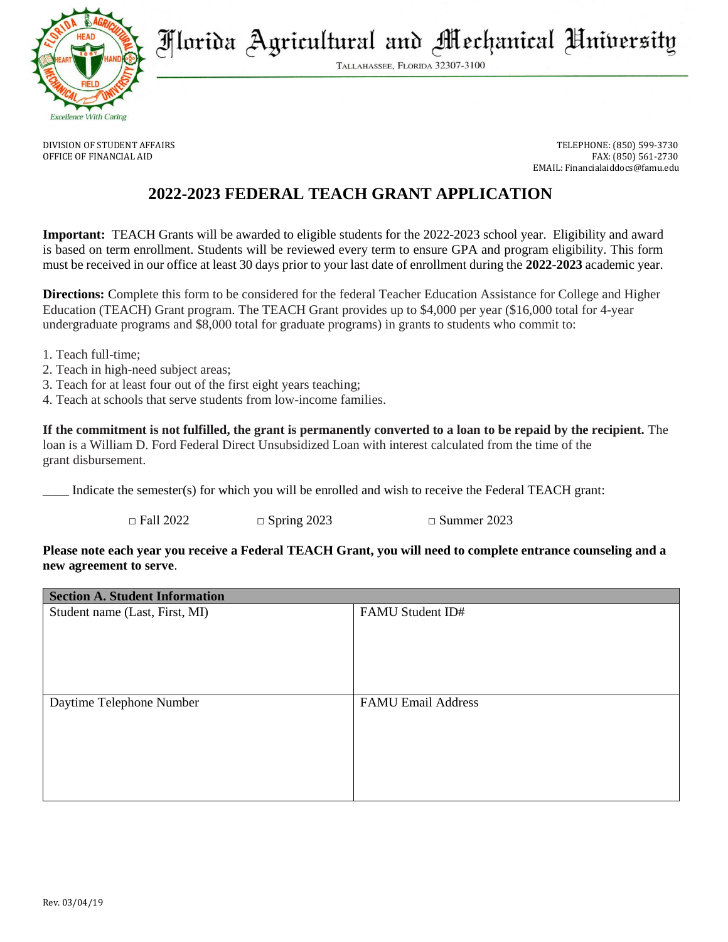

Florida Agricultural and Mechanical University

TALLAHASSEE, FLORIDA 32307-3100

DIVISION OF STUDENT AFFAIRS TELEPHONE: (850) 599-3730 OFFICE OF FINANCIAL AID FAX: (850) 561-2730 EMAIL: Financialaiddocs@famu.edu

# **2022-2023 FEDERAL TEACH GRANT APPLICATION**

**Important:** TEACH Grants will be awarded to eligible students for the 2022-2023 school year. Eligibility and award is based on term enrollment. Students will be reviewed every term to ensure GPA and program eligibility. This form must be received in our office at least 30 days prior to your last date of enrollment during the **2022-2023** academic year.

**Directions:** Complete this form to be considered for the federal Teacher Education Assistance for College and Higher Education (TEACH) Grant program. The TEACH Grant provides up to \$4,000 per year (\$16,000 total for 4-year undergraduate programs and \$8,000 total for graduate programs) in grants to students who commit to:

- 1. Teach full-time;
- 2. Teach in high-need subject areas;
- 3. Teach for at least four out of the first eight years teaching;
- 4. Teach at schools that serve students from low-income families.

**If the commitment is not fulfilled, the grant is permanently converted to a loan to be repaid by the recipient.** The loan is a William D. Ford Federal Direct Unsubsidized Loan with interest calculated from the time of the grant disbursement.

Indicate the semester(s) for which you will be enrolled and wish to receive the Federal TEACH grant:

 $\Box$  Fall 2022  $\Box$  Spring 2023  $\Box$  Summer 2023

## **Please note each year you receive a Federal TEACH Grant, you will need to complete entrance counseling and a new agreement to serve**.

| <b>Section A. Student Information</b> |                           |
|---------------------------------------|---------------------------|
| Student name (Last, First, MI)        | FAMU Student ID#          |
|                                       |                           |
|                                       |                           |
|                                       |                           |
|                                       |                           |
|                                       |                           |
| Daytime Telephone Number              | <b>FAMU Email Address</b> |
|                                       |                           |
|                                       |                           |
|                                       |                           |
|                                       |                           |
|                                       |                           |
|                                       |                           |